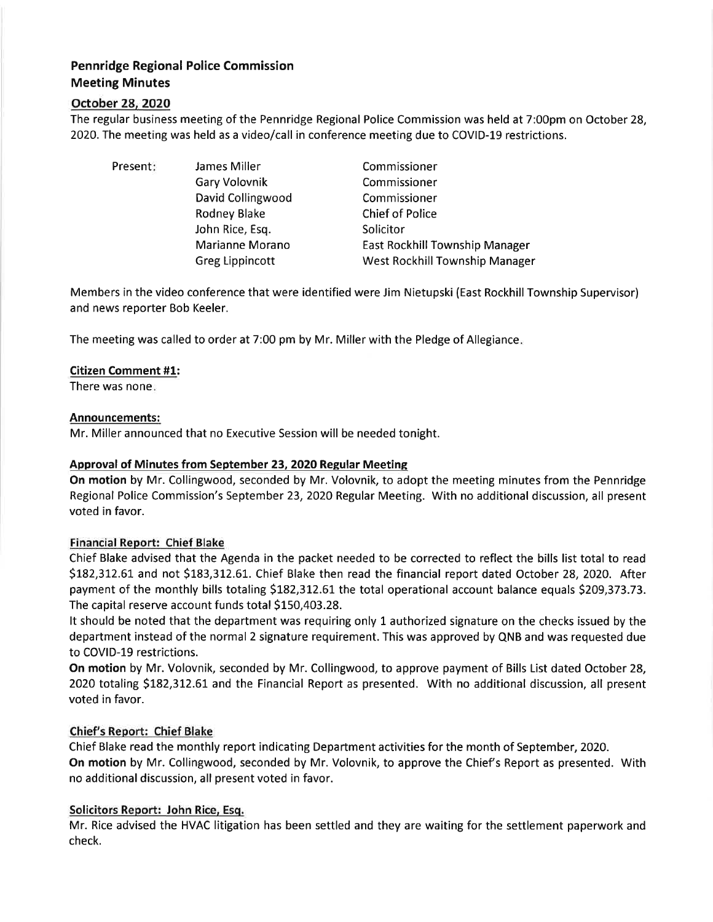# Pennridge Regional Police Commission Meeting Minutes

## October 28, 2020

The regular business meeting of the Pennridge Regional Police Commission was held at 7:00pm on October 28, 2020. The meeting was held as a video/call in conference meeting due to COVID-19 restrictions.

Present: James Miller

Gary Volovnik David Collingwood Rodney Blake John Rice, Esq. Marianne Morano Greg Lippincott

Commissioner Commissioner Commissioner Chief of Police Solicitor East Rockhill Township Manager West Rockhill Township Manager

Members in the video conference that were identified were Jim Nietupski (East Rockhill Township Supervisor) and news reporter Bob Keeler.

The meeting was called to order at 7:00 pm by Mr. Miller with the Pledge of Allegiance

#### Citizen Comment #1:

There was none

#### Announcements:

Mr. Miller announced that no Executive Session will be needed tonight.

## Approval of Minutes from September 23,2020 Regular Meetins

On motion by Mr. Collingwood, seconded by Mr. Volovnik, to adopt the meeting minutes from the Pennridge Regional Police Commission's September 23,2020 Regular Meeting. With no additional discussion, all present voted in favor.

#### Financial Report: Chief Blake

Chief Blake advised that the Agenda in the packet needed to be corrected to reflect the bills list total to read \$182,312.61 and not \$183,312.61. Chief Blake then read the financial report dated October 28, 2020. After payment of the monthly bills totaling 5L82,3L2.67 the total operational account balance equals 5209,373.73. The capital reserve account funds total \$150,403.28.

It should be noted that the department was requiring only L authorized signature on the checks issued by the department instead of the normal 2 signature requirement. This was approved by QNB and was requested due to COVID-19 restrictions.

On motion by Mr. Volovnik, seconded by Mr. Collingwood, to approve payment of Bills List dated October 28, 2020 totaling \$182,312.61 and the Financial Report as presented. With no additional discussion, all present voted in favor.

#### Chief's Report: Chief Blake

Chief Blake read the monthly report indicating Department activities for the month of September,2020. On motion by Mr. Collingwood, seconded by Mr. Volovnik, to approve the Chief's Report as presented. With no additional discussion, all present voted in favor.

#### Solicitors Report: John Rice, Esq.

Mr. Rice advised the HVAC litigation has been settled and they are waiting for the settlement paperwork and check.